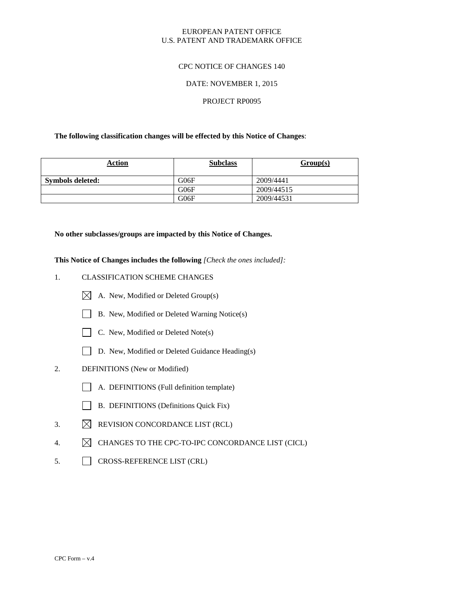## EUROPEAN PATENT OFFICE U.S. PATENT AND TRADEMARK OFFICE

## CPC NOTICE OF CHANGES 140

## DATE: NOVEMBER 1, 2015

#### PROJECT RP0095

### **The following classification changes will be effected by this Notice of Changes**:

| Action           | <b>Subclass</b> | Group(s)   |
|------------------|-----------------|------------|
| Symbols deleted: | G06F            | 2009/4441  |
|                  | G06F            | 2009/44515 |
|                  | G06F            | 2009/44531 |

#### **No other subclasses/groups are impacted by this Notice of Changes.**

**This Notice of Changes includes the following** *[Check the ones included]:*

# 1. CLASSIFICATION SCHEME CHANGES

- $\boxtimes$  A. New, Modified or Deleted Group(s)
- B. New, Modified or Deleted Warning Notice(s)



- $\Box$  C. New, Modified or Deleted Note(s)
- D. New, Modified or Deleted Guidance Heading(s)
- 2. DEFINITIONS (New or Modified)
	- A. DEFINITIONS (Full definition template)
	- $\Box$ B. DEFINITIONS (Definitions Quick Fix)
- 3.  $\boxtimes$  REVISION CONCORDANCE LIST (RCL)
- 4.  $\boxtimes$  CHANGES TO THE CPC-TO-IPC CONCORDANCE LIST (CICL)
- 5. CROSS-REFERENCE LIST (CRL)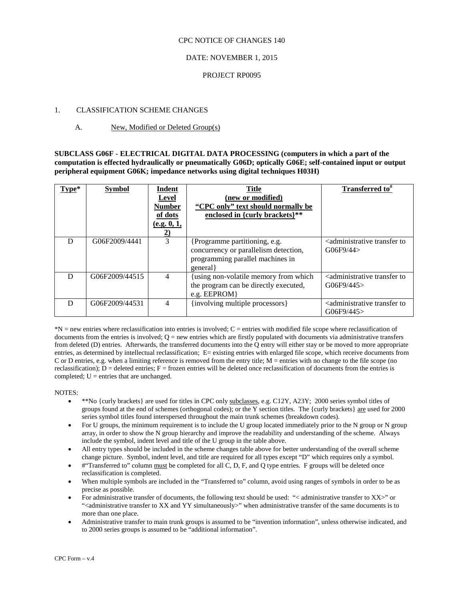#### CPC NOTICE OF CHANGES 140

## DATE: NOVEMBER 1, 2015

### PROJECT RP0095

## 1. CLASSIFICATION SCHEME CHANGES

## A. New, Modified or Deleted Group(s)

**SUBCLASS G06F - ELECTRICAL DIGITAL DATA PROCESSING (computers in which a part of the computation is effected hydraulically or pneumatically G06D; optically G06E; self-contained input or output peripheral equipment G06K; impedance networks using digital techniques H03H)**

| Type* | <b>Symbol</b>  | Indent<br>Level<br><b>Number</b><br>of dots<br>(e.g. 0, 1,<br>2) | <b>Title</b><br>(new or modified)<br>"CPC only" text should normally be<br>enclosed in {curly brackets}**             | <b>Transferred to</b> $\pi$                                                      |
|-------|----------------|------------------------------------------------------------------|-----------------------------------------------------------------------------------------------------------------------|----------------------------------------------------------------------------------|
| D     | G06F2009/4441  | 3                                                                | {Programme partitioning, e.g.<br>concurrency or parallelism detection,<br>programming parallel machines in<br>general | <administrative to<br="" transfer="">G06F9/44&gt;</administrative>               |
| D     | G06F2009/44515 | 4                                                                | {using non-volatile memory from which<br>the program can be directly executed,<br>e.g. $EEPROM$ }                     | <administrative to<br="" transfer=""><math>G</math>06F9/445&gt;</administrative> |
| D     | G06F2009/44531 | $\overline{4}$                                                   | {involving multiple processors}                                                                                       | <administrative to<br="" transfer="">G06F9/445</administrative>                  |

\*N = new entries where reclassification into entries is involved; C = entries with modified file scope where reclassification of documents from the entries is involved;  $Q =$  new entries which are firstly populated with documents via administrative transfers from deleted (D) entries. Afterwards, the transferred documents into the Q entry will either stay or be moved to more appropriate entries, as determined by intellectual reclassification; E= existing entries with enlarged file scope, which receive documents from C or D entries, e.g. when a limiting reference is removed from the entry title;  $M =$  entries with no change to the file scope (no reclassification);  $D =$  deleted entries;  $F =$  frozen entries will be deleted once reclassification of documents from the entries is completed;  $U =$  entries that are unchanged.

NOTES:

- \*\*No {curly brackets} are used for titles in CPC only subclasses, e.g. C12Y, A23Y; 2000 series symbol titles of groups found at the end of schemes (orthogonal codes); or the Y section titles. The {curly brackets} are used for 2000 series symbol titles found interspersed throughout the main trunk schemes (breakdown codes).
- For U groups, the minimum requirement is to include the U group located immediately prior to the N group or N group array, in order to show the N group hierarchy and improve the readability and understanding of the scheme. Always include the symbol, indent level and title of the U group in the table above.
- All entry types should be included in the scheme changes table above for better understanding of the overall scheme change picture. Symbol, indent level, and title are required for all types except "D" which requires only a symbol.
- #"Transferred to" column must be completed for all C, D, F, and Q type entries. F groups will be deleted once reclassification is completed.
- When multiple symbols are included in the "Transferred to" column, avoid using ranges of symbols in order to be as precise as possible.
- For administrative transfer of documents, the following text should be used: "< administrative transfer to XX>" or "<administrative transfer to XX and YY simultaneously>" when administrative transfer of the same documents is to more than one place.
- Administrative transfer to main trunk groups is assumed to be "invention information", unless otherwise indicated, and to 2000 series groups is assumed to be "additional information".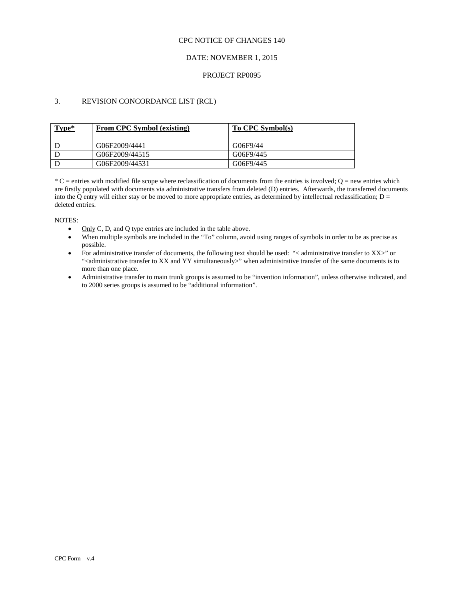#### CPC NOTICE OF CHANGES 140

## DATE: NOVEMBER 1, 2015

### PROJECT RP0095

# 3. REVISION CONCORDANCE LIST (RCL)

| Type* | From CPC Symbol (existing) | To CPC Symbol(s) |
|-------|----------------------------|------------------|
|       | G06F2009/4441              | G06F9/44         |
|       | G06F2009/44515             | G06F9/445        |
|       | G06F2009/44531             | G06F9/445        |

 $*C$  = entries with modified file scope where reclassification of documents from the entries is involved;  $Q$  = new entries which are firstly populated with documents via administrative transfers from deleted (D) entries. Afterwards, the transferred documents into the Q entry will either stay or be moved to more appropriate entries, as determined by intellectual reclassification;  $D =$ deleted entries.

NOTES:

- Only C, D, and Q type entries are included in the table above.
- When multiple symbols are included in the "To" column, avoid using ranges of symbols in order to be as precise as possible.
- For administrative transfer of documents, the following text should be used: "< administrative transfer to XX>" or "<administrative transfer to XX and YY simultaneously>" when administrative transfer of the same documents is to more than one place.
- Administrative transfer to main trunk groups is assumed to be "invention information", unless otherwise indicated, and to 2000 series groups is assumed to be "additional information".